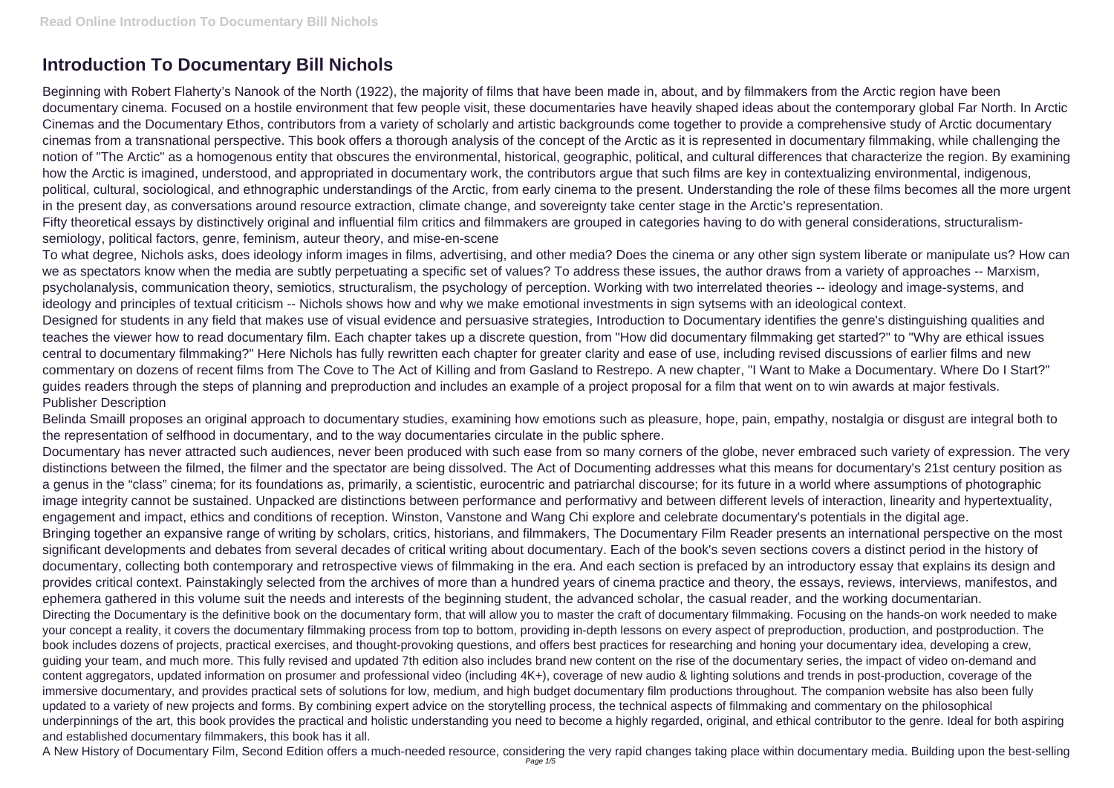## **Introduction To Documentary Bill Nichols**

Beginning with Robert Flaherty's Nanook of the North (1922), the majority of films that have been made in, about, and by filmmakers from the Arctic region have been documentary cinema. Focused on a hostile environment that few people visit, these documentaries have heavily shaped ideas about the contemporary global Far North. In Arctic Cinemas and the Documentary Ethos, contributors from a variety of scholarly and artistic backgrounds come together to provide a comprehensive study of Arctic documentary cinemas from a transnational perspective. This book offers a thorough analysis of the concept of the Arctic as it is represented in documentary filmmaking, while challenging the notion of "The Arctic" as a homogenous entity that obscures the environmental, historical, geographic, political, and cultural differences that characterize the region. By examining how the Arctic is imagined, understood, and appropriated in documentary work, the contributors argue that such films are key in contextualizing environmental, indigenous, political, cultural, sociological, and ethnographic understandings of the Arctic, from early cinema to the present. Understanding the role of these films becomes all the more urgent in the present day, as conversations around resource extraction, climate change, and sovereignty take center stage in the Arctic's representation. Fifty theoretical essays by distinctively original and influential film critics and filmmakers are grouped in categories having to do with general considerations, structuralismsemiology, political factors, genre, feminism, auteur theory, and mise-en-scene

To what degree, Nichols asks, does ideology inform images in films, advertising, and other media? Does the cinema or any other sign system liberate or manipulate us? How can we as spectators know when the media are subtly perpetuating a specific set of values? To address these issues, the author draws from a variety of approaches -- Marxism, psycholanalysis, communication theory, semiotics, structuralism, the psychology of perception. Working with two interrelated theories -- ideology and image-systems, and ideology and principles of textual criticism -- Nichols shows how and why we make emotional investments in sign sytsems with an ideological context. Designed for students in any field that makes use of visual evidence and persuasive strategies, Introduction to Documentary identifies the genre's distinguishing qualities and teaches the viewer how to read documentary film. Each chapter takes up a discrete question, from "How did documentary filmmaking get started?" to "Why are ethical issues central to documentary filmmaking?" Here Nichols has fully rewritten each chapter for greater clarity and ease of use, including revised discussions of earlier films and new commentary on dozens of recent films from The Cove to The Act of Killing and from Gasland to Restrepo. A new chapter, "I Want to Make a Documentary. Where Do I Start?" guides readers through the steps of planning and preproduction and includes an example of a project proposal for a film that went on to win awards at major festivals. Publisher Description

Belinda Smaill proposes an original approach to documentary studies, examining how emotions such as pleasure, hope, pain, empathy, nostalgia or disgust are integral both to the representation of selfhood in documentary, and to the way documentaries circulate in the public sphere.

Documentary has never attracted such audiences, never been produced with such ease from so many corners of the globe, never embraced such variety of expression. The very distinctions between the filmed, the filmer and the spectator are being dissolved. The Act of Documenting addresses what this means for documentary's 21st century position as a genus in the "class" cinema; for its foundations as, primarily, a scientistic, eurocentric and patriarchal discourse; for its future in a world where assumptions of photographic image integrity cannot be sustained. Unpacked are distinctions between performance and performativy and between different levels of interaction, linearity and hypertextuality, engagement and impact, ethics and conditions of reception. Winston, Vanstone and Wang Chi explore and celebrate documentary's potentials in the digital age. Bringing together an expansive range of writing by scholars, critics, historians, and filmmakers, The Documentary Film Reader presents an international perspective on the most significant developments and debates from several decades of critical writing about documentary. Each of the book's seven sections covers a distinct period in the history of documentary, collecting both contemporary and retrospective views of filmmaking in the era. And each section is prefaced by an introductory essay that explains its design and provides critical context. Painstakingly selected from the archives of more than a hundred years of cinema practice and theory, the essays, reviews, interviews, manifestos, and ephemera gathered in this volume suit the needs and interests of the beginning student, the advanced scholar, the casual reader, and the working documentarian. Directing the Documentary is the definitive book on the documentary form, that will allow you to master the craft of documentary filmmaking. Focusing on the hands-on work needed to make your concept a reality, it covers the documentary filmmaking process from top to bottom, providing in-depth lessons on every aspect of preproduction, production, and postproduction. The book includes dozens of projects, practical exercises, and thought-provoking questions, and offers best practices for researching and honing your documentary idea, developing a crew, guiding your team, and much more. This fully revised and updated 7th edition also includes brand new content on the rise of the documentary series, the impact of video on-demand and content aggregators, updated information on prosumer and professional video (including 4K+), coverage of new audio & lighting solutions and trends in post-production, coverage of the immersive documentary, and provides practical sets of solutions for low, medium, and high budget documentary film productions throughout. The companion website has also been fully updated to a variety of new projects and forms. By combining expert advice on the storytelling process, the technical aspects of filmmaking and commentary on the philosophical underpinnings of the art, this book provides the practical and holistic understanding you need to become a highly regarded, original, and ethical contributor to the genre. Ideal for both aspiring and established documentary filmmakers, this book has it all.

A New History of Documentary Film, Second Edition offers a much-needed resource, considering the very rapid changes taking place within documentary media. Building upon the best-selling Page 1/5

- 
- 
- 
- 
- 
- 
- 
- 
-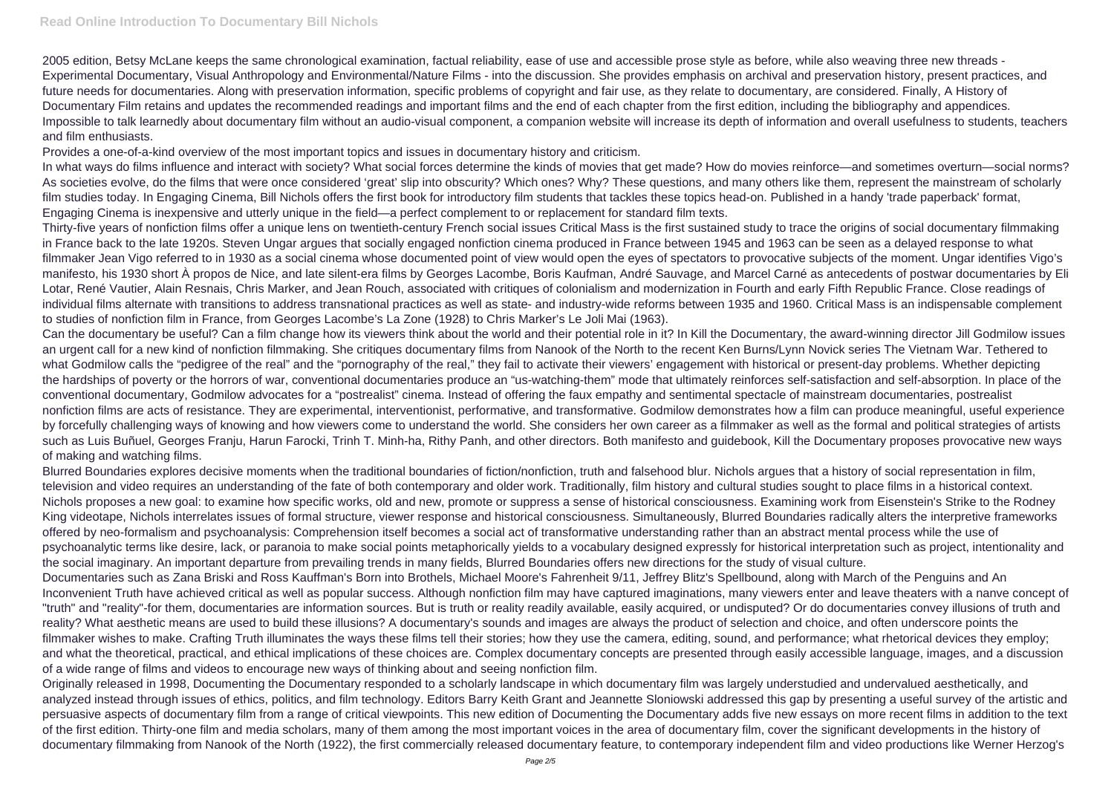2005 edition, Betsy McLane keeps the same chronological examination, factual reliability, ease of use and accessible prose style as before, while also weaving three new threads - Experimental Documentary, Visual Anthropology and Environmental/Nature Films - into the discussion. She provides emphasis on archival and preservation history, present practices, and future needs for documentaries. Along with preservation information, specific problems of copyright and fair use, as they relate to documentary, are considered. Finally, A History of Documentary Film retains and updates the recommended readings and important films and the end of each chapter from the first edition, including the bibliography and appendices. Impossible to talk learnedly about documentary film without an audio-visual component, a companion website will increase its depth of information and overall usefulness to students, teachers and film enthusiasts.

Provides a one-of-a-kind overview of the most important topics and issues in documentary history and criticism.

In what ways do films influence and interact with society? What social forces determine the kinds of movies that get made? How do movies reinforce—and sometimes overturn—social norms? As societies evolve, do the films that were once considered 'great' slip into obscurity? Which ones? Why? These questions, and many others like them, represent the mainstream of scholarly film studies today. In Engaging Cinema, Bill Nichols offers the first book for introductory film students that tackles these topics head-on. Published in a handy 'trade paperback' format, Engaging Cinema is inexpensive and utterly unique in the field—a perfect complement to or replacement for standard film texts.

Thirty-five years of nonfiction films offer a unique lens on twentieth-century French social issues Critical Mass is the first sustained study to trace the origins of social documentary filmmaking in France back to the late 1920s. Steven Ungar argues that socially engaged nonfiction cinema produced in France between 1945 and 1963 can be seen as a delayed response to what filmmaker Jean Vigo referred to in 1930 as a social cinema whose documented point of view would open the eyes of spectators to provocative subjects of the moment. Ungar identifies Vigo's manifesto, his 1930 short À propos de Nice, and late silent-era films by Georges Lacombe, Boris Kaufman, André Sauvage, and Marcel Carné as antecedents of postwar documentaries by Eli Lotar, René Vautier, Alain Resnais, Chris Marker, and Jean Rouch, associated with critiques of colonialism and modernization in Fourth and early Fifth Republic France. Close readings of individual films alternate with transitions to address transnational practices as well as state- and industry-wide reforms between 1935 and 1960. Critical Mass is an indispensable complement to studies of nonfiction film in France, from Georges Lacombe's La Zone (1928) to Chris Marker's Le Joli Mai (1963).

Can the documentary be useful? Can a film change how its viewers think about the world and their potential role in it? In Kill the Documentary, the award-winning director Jill Godmilow issues an urgent call for a new kind of nonfiction filmmaking. She critiques documentary films from Nanook of the North to the recent Ken Burns/Lynn Novick series The Vietnam War. Tethered to what Godmilow calls the "pedigree of the real" and the "pornography of the real," they fail to activate their viewers' engagement with historical or present-day problems. Whether depicting the hardships of poverty or the horrors of war, conventional documentaries produce an "us-watching-them" mode that ultimately reinforces self-satisfaction and self-absorption. In place of the conventional documentary, Godmilow advocates for a "postrealist" cinema. Instead of offering the faux empathy and sentimental spectacle of mainstream documentaries, postrealist nonfiction films are acts of resistance. They are experimental, interventionist, performative, and transformative. Godmilow demonstrates how a film can produce meaningful, useful experience by forcefully challenging ways of knowing and how viewers come to understand the world. She considers her own career as a filmmaker as well as the formal and political strategies of artists such as Luis Buñuel, Georges Franju, Harun Farocki, Trinh T. Minh-ha, Rithy Panh, and other directors. Both manifesto and guidebook, Kill the Documentary proposes provocative new ways of making and watching films.

Blurred Boundaries explores decisive moments when the traditional boundaries of fiction/nonfiction, truth and falsehood blur. Nichols argues that a history of social representation in film, television and video requires an understanding of the fate of both contemporary and older work. Traditionally, film history and cultural studies sought to place films in a historical context. Nichols proposes a new goal: to examine how specific works, old and new, promote or suppress a sense of historical consciousness. Examining work from Eisenstein's Strike to the Rodney King videotape, Nichols interrelates issues of formal structure, viewer response and historical consciousness. Simultaneously, Blurred Boundaries radically alters the interpretive frameworks offered by neo-formalism and psychoanalysis: Comprehension itself becomes a social act of transformative understanding rather than an abstract mental process while the use of psychoanalytic terms like desire, lack, or paranoia to make social points metaphorically yields to a vocabulary designed expressly for historical interpretation such as project, intentionality and the social imaginary. An important departure from prevailing trends in many fields, Blurred Boundaries offers new directions for the study of visual culture. Documentaries such as Zana Briski and Ross Kauffman's Born into Brothels, Michael Moore's Fahrenheit 9/11, Jeffrey Blitz's Spellbound, along with March of the Penguins and An Inconvenient Truth have achieved critical as well as popular success. Although nonfiction film may have captured imaginations, many viewers enter and leave theaters with a nanve concept of "truth" and "reality"-for them, documentaries are information sources. But is truth or reality readily available, easily acquired, or undisputed? Or do documentaries convey illusions of truth and reality? What aesthetic means are used to build these illusions? A documentary's sounds and images are always the product of selection and choice, and often underscore points the filmmaker wishes to make. Crafting Truth illuminates the ways these films tell their stories; how they use the camera, editing, sound, and performance; what rhetorical devices they employ; and what the theoretical, practical, and ethical implications of these choices are. Complex documentary concepts are presented through easily accessible language, images, and a discussion of a wide range of films and videos to encourage new ways of thinking about and seeing nonfiction film.

Originally released in 1998, Documenting the Documentary responded to a scholarly landscape in which documentary film was largely understudied and undervalued aesthetically, and analyzed instead through issues of ethics, politics, and film technology. Editors Barry Keith Grant and Jeannette Sloniowski addressed this gap by presenting a useful survey of the artistic and persuasive aspects of documentary film from a range of critical viewpoints. This new edition of Documenting the Documentary adds five new essays on more recent films in addition to the text of the first edition. Thirty-one film and media scholars, many of them among the most important voices in the area of documentary film, cover the significant developments in the history of documentary filmmaking from Nanook of the North (1922), the first commercially released documentary feature, to contemporary independent film and video productions like Werner Herzog's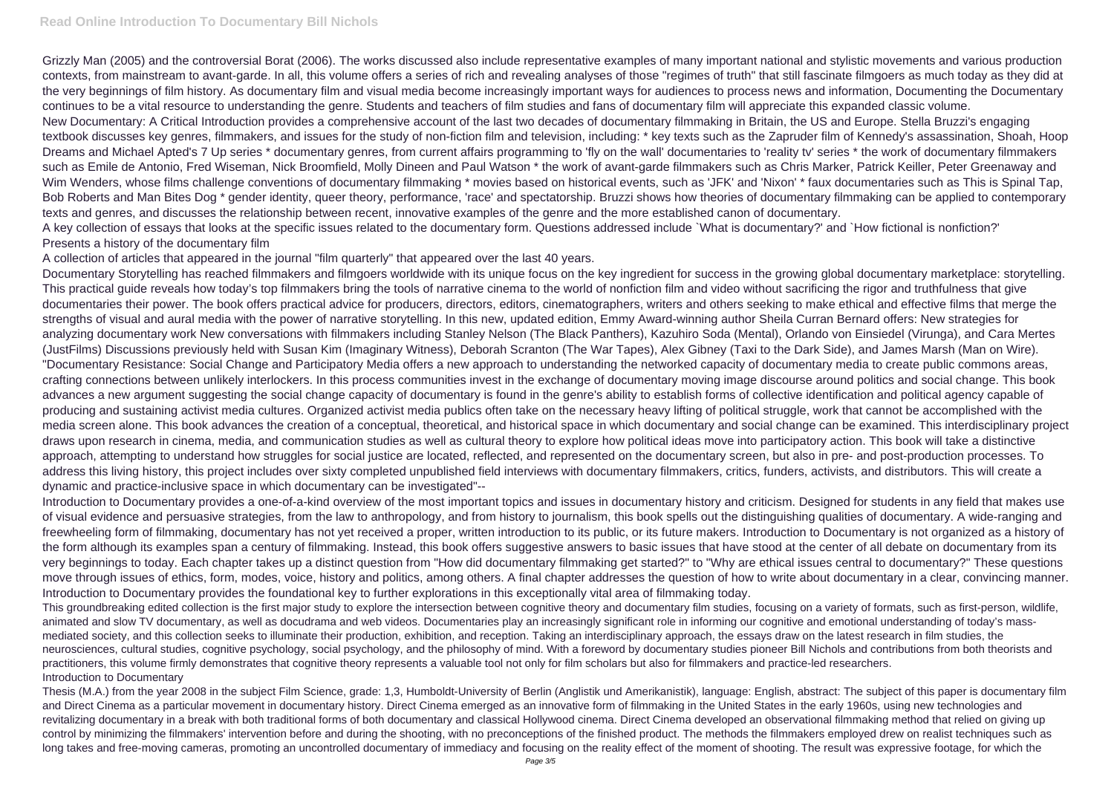## **Read Online Introduction To Documentary Bill Nichols**

Grizzly Man (2005) and the controversial Borat (2006). The works discussed also include representative examples of many important national and stylistic movements and various production contexts, from mainstream to avant-garde. In all, this volume offers a series of rich and revealing analyses of those "regimes of truth" that still fascinate filmgoers as much today as they did at the very beginnings of film history. As documentary film and visual media become increasingly important ways for audiences to process news and information, Documenting the Documentary continues to be a vital resource to understanding the genre. Students and teachers of film studies and fans of documentary film will appreciate this expanded classic volume. New Documentary: A Critical Introduction provides a comprehensive account of the last two decades of documentary filmmaking in Britain, the US and Europe. Stella Bruzzi's engaging textbook discusses key genres, filmmakers, and issues for the study of non-fiction film and television, including: \* key texts such as the Zapruder film of Kennedy's assassination, Shoah, Hoop Dreams and Michael Apted's 7 Up series \* documentary genres, from current affairs programming to 'fly on the wall' documentaries to 'reality tv' series \* the work of documentary filmmakers such as Emile de Antonio, Fred Wiseman, Nick Broomfield, Molly Dineen and Paul Watson \* the work of avant-garde filmmakers such as Chris Marker, Patrick Keiller, Peter Greenaway and Wim Wenders, whose films challenge conventions of documentary filmmaking \* movies based on historical events, such as 'JFK' and 'Nixon' \* faux documentaries such as This is Spinal Tap, Bob Roberts and Man Bites Dog \* gender identity, queer theory, performance, 'race' and spectatorship. Bruzzi shows how theories of documentary filmmaking can be applied to contemporary texts and genres, and discusses the relationship between recent, innovative examples of the genre and the more established canon of documentary. A key collection of essays that looks at the specific issues related to the documentary form. Questions addressed include `What is documentary?' and `How fictional is nonfiction?' Presents a history of the documentary film

A collection of articles that appeared in the journal "film quarterly" that appeared over the last 40 years.

Thesis (M.A.) from the year 2008 in the subject Film Science, grade: 1,3, Humboldt-University of Berlin (Anglistik und Amerikanistik), language: English, abstract: The subject of this paper is documentary film and Direct Cinema as a particular movement in documentary history. Direct Cinema emerged as an innovative form of filmmaking in the United States in the early 1960s, using new technologies and revitalizing documentary in a break with both traditional forms of both documentary and classical Hollywood cinema. Direct Cinema developed an observational filmmaking method that relied on giving up control by minimizing the filmmakers' intervention before and during the shooting, with no preconceptions of the finished product. The methods the filmmakers employed drew on realist techniques such as long takes and free-moving cameras, promoting an uncontrolled documentary of immediacy and focusing on the reality effect of the moment of shooting. The result was expressive footage, for which the

Documentary Storytelling has reached filmmakers and filmgoers worldwide with its unique focus on the key ingredient for success in the growing global documentary marketplace: storytelling. This practical guide reveals how today's top filmmakers bring the tools of narrative cinema to the world of nonfiction film and video without sacrificing the rigor and truthfulness that give documentaries their power. The book offers practical advice for producers, directors, editors, cinematographers, writers and others seeking to make ethical and effective films that merge the strengths of visual and aural media with the power of narrative storytelling. In this new, updated edition, Emmy Award-winning author Sheila Curran Bernard offers: New strategies for analyzing documentary work New conversations with filmmakers including Stanley Nelson (The Black Panthers), Kazuhiro Soda (Mental), Orlando von Einsiedel (Virunga), and Cara Mertes (JustFilms) Discussions previously held with Susan Kim (Imaginary Witness), Deborah Scranton (The War Tapes), Alex Gibney (Taxi to the Dark Side), and James Marsh (Man on Wire). "Documentary Resistance: Social Change and Participatory Media offers a new approach to understanding the networked capacity of documentary media to create public commons areas, crafting connections between unlikely interlockers. In this process communities invest in the exchange of documentary moving image discourse around politics and social change. This book advances a new argument suggesting the social change capacity of documentary is found in the genre's ability to establish forms of collective identification and political agency capable of producing and sustaining activist media cultures. Organized activist media publics often take on the necessary heavy lifting of political struggle, work that cannot be accomplished with the media screen alone. This book advances the creation of a conceptual, theoretical, and historical space in which documentary and social change can be examined. This interdisciplinary project draws upon research in cinema, media, and communication studies as well as cultural theory to explore how political ideas move into participatory action. This book will take a distinctive approach, attempting to understand how struggles for social justice are located, reflected, and represented on the documentary screen, but also in pre- and post-production processes. To address this living history, this project includes over sixty completed unpublished field interviews with documentary filmmakers, critics, funders, activists, and distributors. This will create a dynamic and practice-inclusive space in which documentary can be investigated"--

Introduction to Documentary provides a one-of-a-kind overview of the most important topics and issues in documentary history and criticism. Designed for students in any field that makes use of visual evidence and persuasive strategies, from the law to anthropology, and from history to journalism, this book spells out the distinguishing qualities of documentary. A wide-ranging and freewheeling form of filmmaking, documentary has not yet received a proper, written introduction to its public, or its future makers. Introduction to Documentary is not organized as a history of the form although its examples span a century of filmmaking. Instead, this book offers suggestive answers to basic issues that have stood at the center of all debate on documentary from its very beginnings to today. Each chapter takes up a distinct question from "How did documentary filmmaking get started?" to "Why are ethical issues central to documentary?" These questions move through issues of ethics, form, modes, voice, history and politics, among others. A final chapter addresses the question of how to write about documentary in a clear, convincing manner. Introduction to Documentary provides the foundational key to further explorations in this exceptionally vital area of filmmaking today.

This groundbreaking edited collection is the first major study to explore the intersection between cognitive theory and documentary film studies, focusing on a variety of formats, such as first-person, wildlife, animated and slow TV documentary, as well as docudrama and web videos. Documentaries play an increasingly significant role in informing our cognitive and emotional understanding of today's massmediated society, and this collection seeks to illuminate their production, exhibition, and reception. Taking an interdisciplinary approach, the essays draw on the latest research in film studies, the neurosciences, cultural studies, cognitive psychology, social psychology, and the philosophy of mind. With a foreword by documentary studies pioneer Bill Nichols and contributions from both theorists and practitioners, this volume firmly demonstrates that cognitive theory represents a valuable tool not only for film scholars but also for filmmakers and practice-led researchers. Introduction to Documentary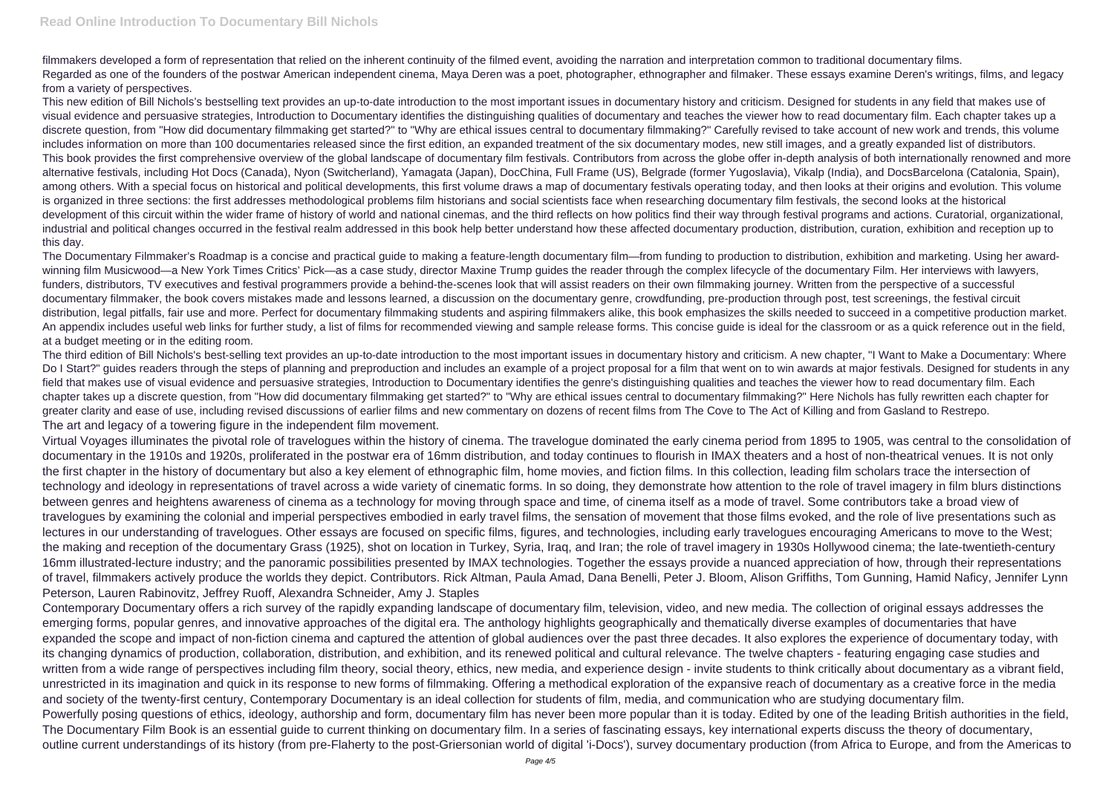filmmakers developed a form of representation that relied on the inherent continuity of the filmed event, avoiding the narration and interpretation common to traditional documentary films. Regarded as one of the founders of the postwar American independent cinema, Maya Deren was a poet, photographer, ethnographer and filmaker. These essays examine Deren's writings, films, and legacy from a variety of perspectives.

This new edition of Bill Nichols's bestselling text provides an up-to-date introduction to the most important issues in documentary history and criticism. Designed for students in any field that makes use of visual evidence and persuasive strategies, Introduction to Documentary identifies the distinguishing qualities of documentary and teaches the viewer how to read documentary film. Each chapter takes up a discrete question, from "How did documentary filmmaking get started?" to "Why are ethical issues central to documentary filmmaking?" Carefully revised to take account of new work and trends, this volume includes information on more than 100 documentaries released since the first edition, an expanded treatment of the six documentary modes, new still images, and a greatly expanded list of distributors. This book provides the first comprehensive overview of the global landscape of documentary film festivals. Contributors from across the globe offer in-depth analysis of both internationally renowned and more alternative festivals, including Hot Docs (Canada), Nyon (Switcherland), Yamagata (Japan), DocChina, Full Frame (US), Belgrade (former Yugoslavia), Vikalp (India), and DocsBarcelona (Catalonia, Spain), among others. With a special focus on historical and political developments, this first volume draws a map of documentary festivals operating today, and then looks at their origins and evolution. This volume is organized in three sections: the first addresses methodological problems film historians and social scientists face when researching documentary film festivals, the second looks at the historical development of this circuit within the wider frame of history of world and national cinemas, and the third reflects on how politics find their way through festival programs and actions. Curatorial, organizational, industrial and political changes occurred in the festival realm addressed in this book help better understand how these affected documentary production, distribution, curation, exhibition and reception up to this day.

The Documentary Filmmaker's Roadmap is a concise and practical guide to making a feature-length documentary film—from funding to production to distribution, exhibition and marketing. Using her awardwinning film Musicwood—a New York Times Critics' Pick—as a case study, director Maxine Trump guides the reader through the complex lifecycle of the documentary Film. Her interviews with lawyers, funders, distributors, TV executives and festival programmers provide a behind-the-scenes look that will assist readers on their own filmmaking journey. Written from the perspective of a successful documentary filmmaker, the book covers mistakes made and lessons learned, a discussion on the documentary genre, crowdfunding, pre-production through post, test screenings, the festival circuit distribution, legal pitfalls, fair use and more. Perfect for documentary filmmaking students and aspiring filmmakers alike, this book emphasizes the skills needed to succeed in a competitive production market. An appendix includes useful web links for further study, a list of films for recommended viewing and sample release forms. This concise quide is ideal for the classroom or as a quick reference out in the field, at a budget meeting or in the editing room.

The third edition of Bill Nichols's best-selling text provides an up-to-date introduction to the most important issues in documentary history and criticism. A new chapter, "I Want to Make a Documentary: Where Do I Start?" guides readers through the steps of planning and preproduction and includes an example of a project proposal for a film that went on to win awards at major festivals. Designed for students in any field that makes use of visual evidence and persuasive strategies, Introduction to Documentary identifies the genre's distinguishing qualities and teaches the viewer how to read documentary film. Each chapter takes up a discrete question, from "How did documentary filmmaking get started?" to "Why are ethical issues central to documentary filmmaking?" Here Nichols has fully rewritten each chapter for greater clarity and ease of use, including revised discussions of earlier films and new commentary on dozens of recent films from The Cove to The Act of Killing and from Gasland to Restrepo. The art and legacy of a towering figure in the independent film movement.

Virtual Voyages illuminates the pivotal role of travelogues within the history of cinema. The travelogue dominated the early cinema period from 1895 to 1905, was central to the consolidation of documentary in the 1910s and 1920s, proliferated in the postwar era of 16mm distribution, and today continues to flourish in IMAX theaters and a host of non-theatrical venues. It is not only the first chapter in the history of documentary but also a key element of ethnographic film, home movies, and fiction films. In this collection, leading film scholars trace the intersection of technology and ideology in representations of travel across a wide variety of cinematic forms. In so doing, they demonstrate how attention to the role of travel imagery in film blurs distinctions between genres and heightens awareness of cinema as a technology for moving through space and time, of cinema itself as a mode of travel. Some contributors take a broad view of travelogues by examining the colonial and imperial perspectives embodied in early travel films, the sensation of movement that those films evoked, and the role of live presentations such as lectures in our understanding of travelogues. Other essays are focused on specific films, figures, and technologies, including early travelogues encouraging Americans to move to the West; the making and reception of the documentary Grass (1925), shot on location in Turkey, Syria, Iraq, and Iran; the role of travel imagery in 1930s Hollywood cinema; the late-twentieth-century 16mm illustrated-lecture industry; and the panoramic possibilities presented by IMAX technologies. Together the essays provide a nuanced appreciation of how, through their representations of travel, filmmakers actively produce the worlds they depict. Contributors. Rick Altman, Paula Amad, Dana Benelli, Peter J. Bloom, Alison Griffiths, Tom Gunning, Hamid Naficy, Jennifer Lynn Peterson, Lauren Rabinovitz, Jeffrey Ruoff, Alexandra Schneider, Amy J. Staples

Contemporary Documentary offers a rich survey of the rapidly expanding landscape of documentary film, television, video, and new media. The collection of original essays addresses the emerging forms, popular genres, and innovative approaches of the digital era. The anthology highlights geographically and thematically diverse examples of documentaries that have expanded the scope and impact of non-fiction cinema and captured the attention of global audiences over the past three decades. It also explores the experience of documentary today, with its changing dynamics of production, collaboration, distribution, and exhibition, and its renewed political and cultural relevance. The twelve chapters - featuring engaging case studies and written from a wide range of perspectives including film theory, social theory, ethics, new media, and experience design - invite students to think critically about documentary as a vibrant field, unrestricted in its imagination and quick in its response to new forms of filmmaking. Offering a methodical exploration of the expansive reach of documentary as a creative force in the media and society of the twenty-first century, Contemporary Documentary is an ideal collection for students of film, media, and communication who are studying documentary film. Powerfully posing questions of ethics, ideology, authorship and form, documentary film has never been more popular than it is today. Edited by one of the leading British authorities in the field, The Documentary Film Book is an essential guide to current thinking on documentary film. In a series of fascinating essays, key international experts discuss the theory of documentary, outline current understandings of its history (from pre-Flaherty to the post-Griersonian world of digital 'i-Docs'), survey documentary production (from Africa to Europe, and from the Americas to